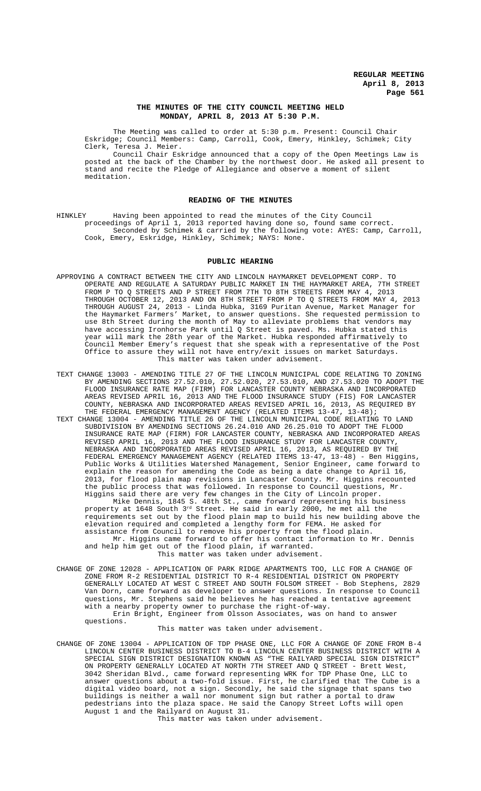## **THE MINUTES OF THE CITY COUNCIL MEETING HELD MONDAY, APRIL 8, 2013 AT 5:30 P.M.**

The Meeting was called to order at 5:30 p.m. Present: Council Chair Eskridge; Council Members: Camp, Carroll, Cook, Emery, Hinkley, Schimek; City Clerk, Teresa J. Meier.

Council Chair Eskridge announced that a copy of the Open Meetings Law is posted at the back of the Chamber by the northwest door. He asked all present to stand and recite the Pledge of Allegiance and observe a moment of silent meditation.

## **READING OF THE MINUTES**

HINKLEY Having been appointed to read the minutes of the City Council proceedings of April 1, 2013 reported having done so, found same correct. Seconded by Schimek & carried by the following vote: AYES: Camp, Carroll, Cook, Emery, Eskridge, Hinkley, Schimek; NAYS: None.

## **PUBLIC HEARING**

- APPROVING A CONTRACT BETWEEN THE CITY AND LINCOLN HAYMARKET DEVELOPMENT CORP. TO OPERATE AND REGULATE A SATURDAY PUBLIC MARKET IN THE HAYMARKET AREA, 7TH STREET FROM P TO Q STREETS AND P STREET FROM 7TH TO 8TH STREETS FROM MAY 4, 2013 THROUGH OCTOBER 12, 2013 AND ON 8TH STREET FROM P TO Q STREETS FROM MAY 4, 2013 THROUGH AUGUST 24, 2013 - Linda Hubka, 3169 Puritan Avenue, Market Manager for the Haymarket Farmers' Market, to answer questions. She requested permission to use 8th Street during the month of May to alleviate problems that vendors may have accessing Ironhorse Park until Q Street is paved. Ms. Hubka stated this year will mark the 28th year of the Market. Hubka responded affirmatively to Council Member Emery's request that she speak with a representative of the Post Office to assure they will not have entry/exit issues on market Saturdays. This matter was taken under advisement.
- TEXT CHANGE 13003 AMENDING TITLE 27 OF THE LINCOLN MUNICIPAL CODE RELATING TO ZONING BY AMENDING SECTIONS 27.52.010, 27.52.020, 27.53.010, AND 27.53.020 TO ADOPT THE FLOOD INSURANCE RATE MAP (FIRM) FOR LANCASTER COUNTY NEBRASKA AND INCORPORATED AREAS REVISED APRIL 16, 2013 AND THE FLOOD INSURANCE STUDY (FIS) FOR LANCASTER COUNTY, NEBRASKA AND INCORPORATED AREAS REVISED APRIL 16, 2013, AS REQUIRED BY THE FEDERAL EMERGENCY MANAGEMENT AGENCY (RELATED ITEMS 13-47, 13-48);
- TEXT CHANGE 13004 AMENDING TITLE 26 OF THE LINCOLN MUNICIPAL CODE RELATING TO LAND SUBDIVISION BY AMENDING SECTIONS 26.24.010 AND 26.25.010 TO ADOPT THE FLOOD INSURANCE RATE MAP (FIRM) FOR LANCASTER COUNTY, NEBRASKA AND INCORPORATED AREAS REVISED APRIL 16, 2013 AND THE FLOOD INSURANCE STUDY FOR LANCASTER COUNTY, NEBRASKA AND INCORPORATED AREAS REVISED APRIL 16, 2013, AS REQUIRED BY THE FEDERAL EMERGENCY MANAGEMENT AGENCY (RELATED ITEMS 13-47, 13-48) - Ben Higgins, Public Works & Utilities Watershed Management, Senior Engineer, came forward to explain the reason for amending the Code as being a date change to April 16, 2013, for flood plain map revisions in Lancaster County. Mr. Higgins recounted the public process that was followed. In response to Council questions, Mr. Higgins said there are very few changes in the City of Lincoln proper. Mike Dennis, 1845 S. 48th St., came forward representing his business

property at 1648 South 3rd Street. He said in early 2000, he met all the requirements set out by the flood plain map to build his new building above the elevation required and completed a lengthy form for FEMA. He asked for assistance from Council to remove his property from the flood plain.

Mr. Higgins came forward to offer his contact information to Mr. Dennis and help him get out of the flood plain, if warranted. This matter was taken under advisement.

CHANGE OF ZONE 12028 - APPLICATION OF PARK RIDGE APARTMENTS TOO, LLC FOR A CHANGE OF ZONE FROM R-2 RESIDENTIAL DISTRICT TO R-4 RESIDENTIAL DISTRICT ON PROPERTY GENERALLY LOCATED AT WEST C STREET AND SOUTH FOLSOM STREET - Bob Stephens, 2829 Van Dorn, came forward as developer to answer questions. In response to Council questions, Mr. Stephens said he believes he has reached a tentative agreement with a nearby property owner to purchase the right-of-way. Erin Bright, Engineer from Olsson Associates, was on hand to answer questions.

This matter was taken under advisement.

CHANGE OF ZONE 13004 - APPLICATION OF TDP PHASE ONE, LLC FOR A CHANGE OF ZONE FROM B-4 LINCOLN CENTER BUSINESS DISTRICT TO B-4 LINCOLN CENTER BUSINESS DISTRICT WITH A SPECIAL SIGN DISTRICT DESIGNATION KNOWN AS "THE RAILYARD SPECIAL SIGN DISTRICT" ON PROPERTY GENERALLY LOCATED AT NORTH 7TH STREET AND Q STREET - Brett West, 3042 Sheridan Blvd., came forward representing WRK for TDP Phase One, LLC to answer questions about a two-fold issue. First, he clarified that The Cube is a digital video board, not a sign. Secondly, he said the signage that spans two buildings is neither a wall nor monument sign but rather a portal to draw pedestrians into the plaza space. He said the Canopy Street Lofts will open August 1 and the Railyard on August 31.

This matter was taken under advisement.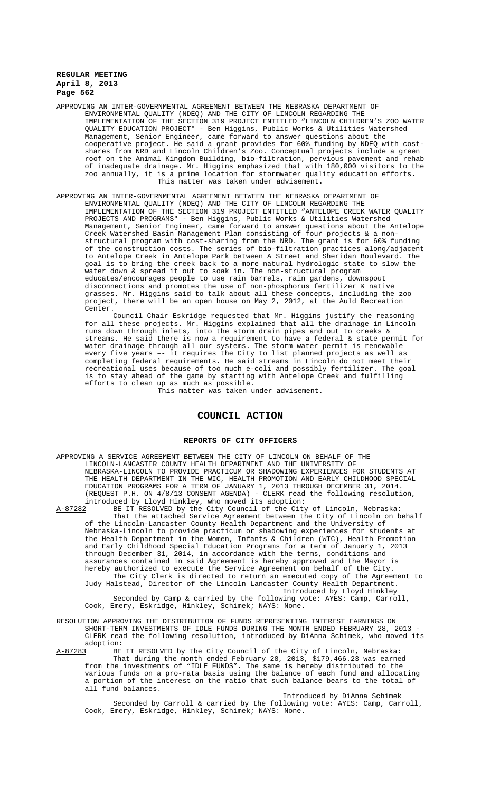APPROVING AN INTER-GOVERNMENTAL AGREEMENT BETWEEN THE NEBRASKA DEPARTMENT OF ENVIRONMENTAL QUALITY (NDEQ) AND THE CITY OF LINCOLN REGARDING THE IMPLEMENTATION OF THE SECTION 319 PROJECT ENTITLED "LINCOLN CHILDREN'S ZOO WATER QUALITY EDUCATION PROJECT" - Ben Higgins, Public Works & Utilities Watershed Management, Senior Engineer, came forward to answer questions about the cooperative project. He said a grant provides for 60% funding by NDEQ with costshares from NRD and Lincoln Children's Zoo. Conceptual projects include a green roof on the Animal Kingdom Building, bio-filtration, pervious pavement and rehab of inadequate drainage. Mr. Higgins emphasized that with 180,000 visitors to the zoo annually, it is a prime location for stormwater quality education efforts. This matter was taken under advisement.

APPROVING AN INTER-GOVERNMENTAL AGREEMENT BETWEEN THE NEBRASKA DEPARTMENT OF ENVIRONMENTAL QUALITY (NDEQ) AND THE CITY OF LINCOLN REGARDING THE IMPLEMENTATION OF THE SECTION 319 PROJECT ENTITLED "ANTELOPE CREEK WATER QUALITY PROJECTS AND PROGRAMS" - Ben Higgins, Public Works & Utilities Watershed Management, Senior Engineer, came forward to answer questions about the Antelope Creek Watershed Basin Management Plan consisting of four projects & a nonstructural program with cost-sharing from the NRD. The grant is for 60% funding of the construction costs. The series of bio-filtration practices along/adjacent to Antelope Creek in Antelope Park between A Street and Sheridan Boulevard. The goal is to bring the creek back to a more natural hydrologic state to slow the water down & spread it out to soak in. The non-structural program educates/encourages people to use rain barrels, rain gardens, downspout disconnections and promotes the use of non-phosphorus fertilizer & native grasses. Mr. Higgins said to talk about all these concepts, including the zoo project, there will be an open house on May 2, 2012, at the Auld Recreation Center.

Council Chair Eskridge requested that Mr. Higgins justify the reasoning for all these projects. Mr. Higgins explained that all the drainage in Lincoln runs down through inlets, into the storm drain pipes and out to creeks & streams. He said there is now a requirement to have a federal & state permit for water drainage through all our systems. The storm water permit is renewable every five years –- it requires the City to list planned projects as well as completing federal requirements. He said streams in Lincoln do not meet their recreational uses because of too much e-coli and possibly fertilizer. The goal is to stay ahead of the game by starting with Antelope Creek and fulfilling efforts to clean up as much as possible.

This matter was taken under advisement.

## **COUNCIL ACTION**

#### **REPORTS OF CITY OFFICERS**

APPROVING A SERVICE AGREEMENT BETWEEN THE CITY OF LINCOLN ON BEHALF OF THE LINCOLN-LANCASTER COUNTY HEALTH DEPARTMENT AND THE UNIVERSITY OF NEBRASKA-LINCOLN TO PROVIDE PRACTICUM OR SHADOWING EXPERIENCES FOR STUDENTS AT THE HEALTH DEPARTMENT IN THE WIC, HEALTH PROMOTION AND EARLY CHILDHOOD SPECIAL EDUCATION PROGRAMS FOR A TERM OF JANUARY 1, 2013 THROUGH DECEMBER 31, 2014. (REQUEST P.H. ON 4/8/13 CONSENT AGENDA) - CLERK read the following resolution, introduced by Lloyd Hinkley, who moved its adoption:

A-87282 BE IT RESOLVED by the City Council of the City of Lincoln, Nebraska: That the attached Service Agreement between the City of Lincoln on behalf of the Lincoln-Lancaster County Health Department and the University of Nebraska-Lincoln to provide practicum or shadowing experiences for students at the Health Department in the Women, Infants & Children (WIC), Health Promotion and Early Childhood Special Education Programs for a term of January 1, 2013 through December 31, 2014, in accordance with the terms, conditions and assurances contained in said Agreement is hereby approved and the Mayor is hereby authorized to execute the Service Agreement on behalf of the City. The City Clerk is directed to return an executed copy of the Agreement to Judy Halstead, Director of the Lincoln Lancaster County Health Department. Introduced by Lloyd Hinkley

Seconded by Camp & carried by the following vote: AYES: Camp, Carroll, Cook, Emery, Eskridge, Hinkley, Schimek; NAYS: None.

RESOLUTION APPROVING THE DISTRIBUTION OF FUNDS REPRESENTING INTEREST EARNINGS ON SHORT-TERM INVESTMENTS OF IDLE FUNDS DURING THE MONTH ENDED FEBRUARY 28, 2013 - CLERK read the following resolution, introduced by DiAnna Schimek, who moved its

adoption:<br>A-87283 BE BE IT RESOLVED by the City Council of the City of Lincoln, Nebraska: That during the month ended February 28, 2013, \$179,466.23 was earned from the investments of "IDLE FUNDS". The same is hereby distributed to the various funds on a pro-rata basis using the balance of each fund and allocating a portion of the interest on the ratio that such balance bears to the total of all fund balances.

Introduced by DiAnna Schimek Seconded by Carroll & carried by the following vote: AYES: Camp, Carroll, Cook, Emery, Eskridge, Hinkley, Schimek; NAYS: None.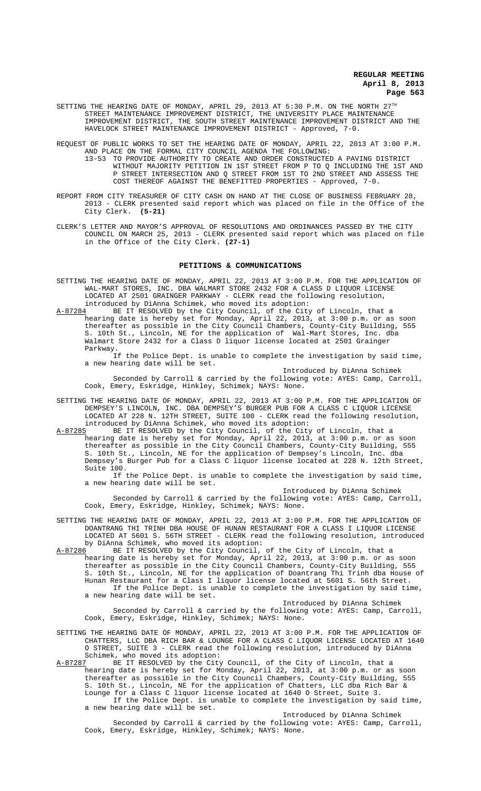SETTING THE HEARING DATE OF MONDAY, APRIL 29, 2013 AT 5:30 P.M. ON THE NORTH  $27^{\text{th}}$ STREET MAINTENANCE IMPROVEMENT DISTRICT, THE UNIVERSITY PLACE MAINTENANCE IMPROVEMENT DISTRICT, THE SOUTH STREET MAINTENANCE IMPROVEMENT DISTRICT AND THE HAVELOCK STREET MAINTENANCE IMPROVEMENT DISTRICT - Approved, 7-0.

REQUEST OF PUBLIC WORKS TO SET THE HEARING DATE OF MONDAY, APRIL 22, 2013 AT 3:00 P.M. AND PLACE ON THE FORMAL CITY COUNCIL AGENDA THE FOLLOWING: 13-53 TO PROVIDE AUTHORITY TO CREATE AND ORDER CONSTRUCTED A PAVING DISTRICT WITHOUT MAJORITY PETITION IN 1ST STREET FROM P TO Q INCLUDING THE 1ST AND P STREET INTERSECTION AND Q STREET FROM 1ST TO 2ND STREET AND ASSESS THE COST THEREOF AGAINST THE BENEFITTED PROPERTIES - Approved, 7-0.

- REPORT FROM CITY TREASURER OF CITY CASH ON HAND AT THE CLOSE OF BUSINESS FEBRUARY 28, 2013 - CLERK presented said report which was placed on file in the Office of the City Clerk. **(5-21)**
- CLERK'S LETTER AND MAYOR'S APPROVAL OF RESOLUTIONS AND ORDINANCES PASSED BY THE CITY COUNCIL ON MARCH 25, 2013 - CLERK presented said report which was placed on file in the Office of the City Clerk. **(27-1)**

## **PETITIONS & COMMUNICATIONS**

SETTING THE HEARING DATE OF MONDAY, APRIL 22, 2013 AT 3:00 P.M. FOR THE APPLICATION OF WAL-MART STORES, INC. DBA WALMART STORE 2432 FOR A CLASS D LIQUOR LICENSE LOCATED AT 2501 GRAINGER PARKWAY - CLERK read the following resolution, introduced by DiAnna Schimek, who moved its adoption:<br>A-87284 BE IT RESOLVED by the City Council, of the City

BE IT RESOLVED by the City Council, of the City of Lincoln, that a hearing date is hereby set for Monday, April 22, 2013, at 3:00 p.m. or as soon thereafter as possible in the City Council Chambers, County-City Building, 555 S. 10th St., Lincoln, NE for the application of Wal-Mart Stores, Inc. dba Walmart Store 2432 for a Class D liquor license located at 2501 Grainger Parkway.

If the Police Dept. is unable to complete the investigation by said time, a new hearing date will be set.

Introduced by DiAnna Schimek

Seconded by Carroll & carried by the following vote: AYES: Camp, Carroll, Cook, Emery, Eskridge, Hinkley, Schimek; NAYS: None.

SETTING THE HEARING DATE OF MONDAY, APRIL 22, 2013 AT 3:00 P.M. FOR THE APPLICATION OF DEMPSEY'S LINCOLN, INC. DBA DEMPSEY'S BURGER PUB FOR A CLASS C LIQUOR LICENSE LOCATED AT 228 N. 12TH STREET, SUITE 100 - CLERK read the following resolution, introduced by DiAnna Schimek, who moved its adoption:<br>A-87285 BE IT RESOLVED by the City Council, of the City

A-87285 BE IT RESOLVED by the City Council, of the City of Lincoln, that a hearing date is hereby set for Monday, April 22, 2013, at 3:00 p.m. or as soon thereafter as possible in the City Council Chambers, County-City Building, 555 S. 10th St., Lincoln, NE for the application of Dempsey's Lincoln, Inc. dba Dempsey's Burger Pub for a Class C liquor license located at 228 N. 12th Street, Suite 100.

If the Police Dept. is unable to complete the investigation by said time, a new hearing date will be set.

Introduced by DiAnna Schimek Seconded by Carroll & carried by the following vote: AYES: Camp, Carroll, Cook, Emery, Eskridge, Hinkley, Schimek; NAYS: None.

- SETTING THE HEARING DATE OF MONDAY, APRIL 22, 2013 AT 3:00 P.M. FOR THE APPLICATION OF DOANTRANG THI TRINH DBA HOUSE OF HUNAN RESTAURANT FOR A CLASS I LIQUOR LICENSE LOCATED AT 5601 S. 56TH STREET - CLERK read the following resolution, introduced by DiAnna Schimek, who moved its adoption:
- A-87286 BE IT RESOLVED by the City Council, of the City of Lincoln, that a hearing date is hereby set for Monday, April 22, 2013, at 3:00 p.m. or as soon thereafter as possible in the City Council Chambers, County-City Building, 555 S. 10th St., Lincoln, NE for the application of Doantrang Thi Trinh dba House of Hunan Restaurant for a Class I liquor license located at 5601 S. 56th Street. If the Police Dept. is unable to complete the investigation by said time, a new hearing date will be set.

Introduced by DiAnna Schimek Seconded by Carroll & carried by the following vote: AYES: Camp, Carroll, Cook, Emery, Eskridge, Hinkley, Schimek; NAYS: None.

- SETTING THE HEARING DATE OF MONDAY, APRIL 22, 2013 AT 3:00 P.M. FOR THE APPLICATION OF CHATTERS, LLC DBA RICH BAR & LOUNGE FOR A CLASS C LIQUOR LICENSE LOCATED AT 1640 O STREET, SUITE 3 - CLERK read the following resolution, introduced by DiAnna Schimek, who moved its adoption:
- A-87287 BE IT RESOLVED by the City Council, of the City of Lincoln, that a hearing date is hereby set for Monday, April 22, 2013, at 3:00 p.m. or as soon thereafter as possible in the City Council Chambers, County-City Building, 555 S. 10th St., Lincoln, NE for the application of Chatters, LLC dba Rich Bar & Lounge for a Class C liquor license located at 1640 O Street, Suite 3. If the Police Dept. is unable to complete the investigation by said time, a new hearing date will be set.

Introduced by DiAnna Schimek Seconded by Carroll & carried by the following vote: AYES: Camp, Carroll, Cook, Emery, Eskridge, Hinkley, Schimek; NAYS: None.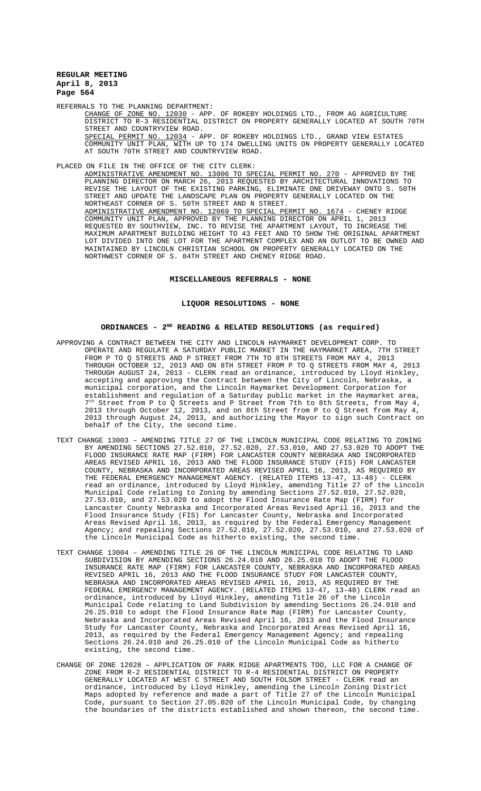REFERRALS TO THE PLANNING DEPARTMENT:

CHANGE OF ZONE NO. 12030 - APP. OF ROKEBY HOLDINGS LTD., FROM AG AGRICULTURE DISTRICT TO R-3 RESIDENTIAL DISTRICT ON PROPERTY GENERALLY LOCATED AT SOUTH 70TH STREET AND COUNTRYVIEW ROAD.

SPECIAL PERMIT NO. 12034 - APP. OF ROKEBY HOLDINGS LTD., GRAND VIEW ESTATES COMMUNITY UNIT PLAN, WITH UP TO 174 DWELLING UNITS ON PROPERTY GENERALLY LOCATED AT SOUTH 70TH STREET AND COUNTRYVIEW ROAD.

## PLACED ON FILE IN THE OFFICE OF THE CITY CLERK:

ADMINISTRATIVE AMENDMENT NO. 13006 TO SPECIAL PERMIT NO. 270 - APPROVED BY THE PLANNING DIRECTOR ON MARCH 26, 2013 REQUESTED BY ARCHITECTURAL INNOVATIONS TO REVISE THE LAYOUT OF THE EXISTING PARKING, ELIMINATE ONE DRIVEWAY ONTO S. 50TH STREET AND UPDATE THE LANDSCAPE PLAN ON PROPERTY GENERALLY LOCATED ON THE NORTHEAST CORNER OF S. 50TH STREET AND N STREET.<br>ADMINISTRATIVE AMENDMENT NO. 12069 TO SPECIAL PERMIT NO. ADMINISTRATIVE AMENDMENT NO. 12069 TO SPECIAL PERMIT NO. 1674 - CHENEY RIDGE COMMUNITY UNIT PLAN, APPROVED BY THE PLANNING DIRECTOR ON APRIL 1, 2013 REQUESTED BY SOUTHVIEW, INC. TO REVISE THE APARTMENT LAYOUT, TO INCREASE THE MAXIMUM APARTMENT BUILDING HEIGHT TO 43 FEET AND TO SHOW THE ORIGINAL APARTMENT LOT DIVIDED INTO ONE LOT FOR THE APARTMENT COMPLEX AND AN OUTLOT TO BE OWNED AND MAINTAINED BY LINCOLN CHRISTIAN SCHOOL ON PROPERTY GENERALLY LOCATED ON THE NORTHWEST CORNER OF S. 84TH STREET AND CHENEY RIDGE ROAD.

#### **MISCELLANEOUS REFERRALS - NONE**

## **LIQUOR RESOLUTIONS - NONE**

#### **ORDINANCES - 2ND READING & RELATED RESOLUTIONS (as required)**

- APPROVING A CONTRACT BETWEEN THE CITY AND LINCOLN HAYMARKET DEVELOPMENT CORP. TO OPERATE AND REGULATE A SATURDAY PUBLIC MARKET IN THE HAYMARKET AREA, 7TH STREET FROM P TO Q STREETS AND P STREET FROM 7TH TO 8TH STREETS FROM MAY 4, 2013 THROUGH OCTOBER 12, 2013 AND ON 8TH STREET FROM P TO Q STREETS FROM MAY 4, 2013 THROUGH AUGUST 24, 2013 - CLERK read an ordinance, introduced by Lloyd Hinkley, accepting and approving the Contract between the City of Lincoln, Nebraska, a municipal corporation, and the Lincoln Haymarket Development Corporation for establishment and regulation of a Saturday public market in the Haymarket area,  $7<sup>th</sup>$  Street from P to Q Streets and P Street from 7th to 8th Streets, from May 4, 2013 through October 12, 2013, and on 8th Street from P to Q Street from May 4, 2013 through August 24, 2013, and authorizing the Mayor to sign such Contract on behalf of the City, the second time.
- TEXT CHANGE 13003 AMENDING TITLE 27 OF THE LINCOLN MUNICIPAL CODE RELATING TO ZONING BY AMENDING SECTIONS 27.52.010, 27.52.020, 27.53.010, AND 27.53.020 TO ADOPT THE FLOOD INSURANCE RATE MAP (FIRM) FOR LANCASTER COUNTY NEBRASKA AND INCORPORATED AREAS REVISED APRIL 16, 2013 AND THE FLOOD INSURANCE STUDY (FIS) FOR LANCASTER COUNTY, NEBRASKA AND INCORPORATED AREAS REVISED APRIL 16, 2013, AS REQUIRED BY THE FEDERAL EMERGENCY MANAGEMENT AGENCY. (RELATED ITEMS 13-47, 13-48) - CLERK read an ordinance, introduced by Lloyd Hinkley, amending Title 27 of the Lincoln Municipal Code relating to Zoning by amending Sections 27.52.010, 27.52.020, 27.53.010, and 27.53.020 to adopt the Flood Insurance Rate Map (FIRM) for Lancaster County Nebraska and Incorporated Areas Revised April 16, 2013 and the Flood Insurance Study (FIS) for Lancaster County, Nebraska and Incorporated Areas Revised April 16, 2013, as required by the Federal Emergency Management Agency; and repealing Sections 27.52.010, 27.52.020, 27.53.010, and 27.53.020 of the Lincoln Municipal Code as hitherto existing, the second time.
- TEXT CHANGE 13004 AMENDING TITLE 26 OF THE LINCOLN MUNICIPAL CODE RELATING TO LAND SUBDIVISION BY AMENDING SECTIONS 26.24.010 AND 26.25.010 TO ADOPT THE FLOOD INSURANCE RATE MAP (FIRM) FOR LANCASTER COUNTY, NEBRASKA AND INCORPORATED AREAS REVISED APRIL 16, 2013 AND THE FLOOD INSURANCE STUDY FOR LANCASTER COUNTY, NEBRASKA AND INCORPORATED AREAS REVISED APRIL 16, 2013, AS REQUIRED BY THE FEDERAL EMERGENCY MANAGEMENT AGENCY. (RELATED ITEMS 13-47, 13-48) CLERK read an ordinance, introduced by Lloyd Hinkley, amending Title 26 of the Lincoln Municipal Code relating to Land Subdivision by amending Sections 26.24.010 and 26.25.010 to adopt the Flood Insurance Rate Map (FIRM) for Lancaster County, Nebraska and Incorporated Areas Revised April 16, 2013 and the Flood Insurance Study for Lancaster County, Nebraska and Incorporated Areas Revised April 16, 2013, as required by the Federal Emergency Management Agency; and repealing Sections 26.24.010 and 26.25.010 of the Lincoln Municipal Code as hitherto existing, the second time.
- CHANGE OF ZONE 12028 APPLICATION OF PARK RIDGE APARTMENTS TOO, LLC FOR A CHANGE OF ZONE FROM R-2 RESIDENTIAL DISTRICT TO R-4 RESIDENTIAL DISTRICT ON PROPERTY GENERALLY LOCATED AT WEST C STREET AND SOUTH FOLSOM STREET - CLERK read an ordinance, introduced by Lloyd Hinkley, amending the Lincoln Zoning District Maps adopted by reference and made a part of Title 27 of the Lincoln Municipal Code, pursuant to Section 27.05.020 of the Lincoln Municipal Code, by changing the boundaries of the districts established and shown thereon, the second time.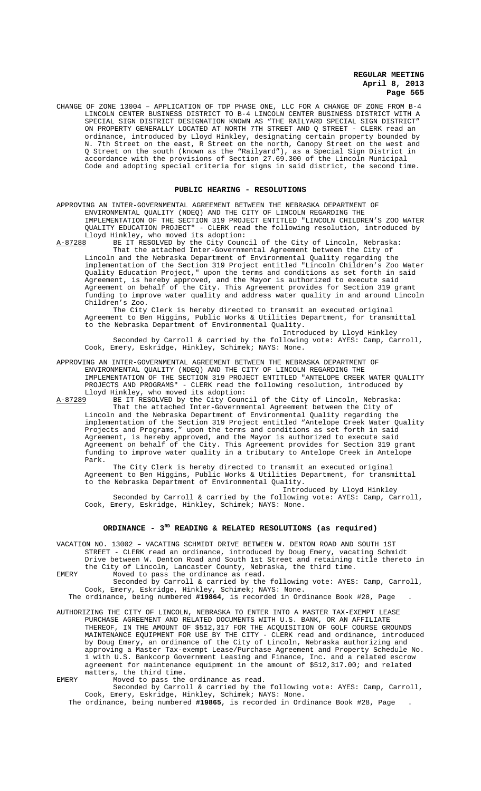CHANGE OF ZONE 13004 – APPLICATION OF TDP PHASE ONE, LLC FOR A CHANGE OF ZONE FROM B-4 LINCOLN CENTER BUSINESS DISTRICT TO B-4 LINCOLN CENTER BUSINESS DISTRICT WITH A SPECIAL SIGN DISTRICT DESIGNATION KNOWN AS "THE RAILYARD SPECIAL SIGN DISTRICT ON PROPERTY GENERALLY LOCATED AT NORTH 7TH STREET AND Q STREET - CLERK read an ordinance, introduced by Lloyd Hinkley, designating certain property bounded by N. 7th Street on the east, R Street on the north, Canopy Street on the west and Q Street on the south (known as the "Railyard"), as a Special Sign District in accordance with the provisions of Section 27.69.300 of the Lincoln Municipal Code and adopting special criteria for signs in said district, the second time.

#### **PUBLIC HEARING - RESOLUTIONS**

APPROVING AN INTER-GOVERNMENTAL AGREEMENT BETWEEN THE NEBRASKA DEPARTMENT OF ENVIRONMENTAL QUALITY (NDEQ) AND THE CITY OF LINCOLN REGARDING THE IMPLEMENTATION OF THE SECTION 319 PROJECT ENTITLED "LINCOLN CHILDREN'S ZOO WATER QUALITY EDUCATION PROJECT" - CLERK read the following resolution, introduced by Lloyd Hinkley, who moved its adoption:<br>A-87288 BE IT RESOLVED by the City Cound

BE IT RESOLVED by the City Council of the City of Lincoln, Nebraska: That the attached Inter-Governmental Agreement between the City of Lincoln and the Nebraska Department of Environmental Quality regarding the implementation of the Section 319 Project entitled "Lincoln Children's Zoo Water Quality Education Project," upon the terms and conditions as set forth in said Agreement, is hereby approved, and the Mayor is authorized to execute said Agreement on behalf of the City. This Agreement provides for Section 319 grant funding to improve water quality and address water quality in and around Lincoln Children's Zoo.

The City Clerk is hereby directed to transmit an executed original Agreement to Ben Higgins, Public Works & Utilities Department, for transmittal to the Nebraska Department of Environmental Quality.

Introduced by Lloyd Hinkley Seconded by Carroll & carried by the following vote: AYES: Camp, Carroll, Cook, Emery, Eskridge, Hinkley, Schimek; NAYS: None.

APPROVING AN INTER-GOVERNMENTAL AGREEMENT BETWEEN THE NEBRASKA DEPARTMENT OF ENVIRONMENTAL QUALITY (NDEQ) AND THE CITY OF LINCOLN REGARDING THE IMPLEMENTATION OF THE SECTION 319 PROJECT ENTITLED "ANTELOPE CREEK WATER QUALITY PROJECTS AND PROGRAMS" - CLERK read the following resolution, introduced by

Lloyd Hinkley, who moved its adoption:<br>A-87289 BE IT RESOLVED by the City Counc BE IT RESOLVED by the City Council of the City of Lincoln, Nebraska: That the attached Inter-Governmental Agreement between the City of Lincoln and the Nebraska Department of Environmental Quality regarding the implementation of the Section 319 Project entitled "Antelope Creek Water Quality Projects and Programs," upon the terms and conditions as set forth in said Agreement, is hereby approved, and the Mayor is authorized to execute said Agreement on behalf of the City. This Agreement provides for Section 319 grant funding to improve water quality in a tributary to Antelope Creek in Antelope Park.

The City Clerk is hereby directed to transmit an executed original Agreement to Ben Higgins, Public Works & Utilities Department, for transmittal to the Nebraska Department of Environmental Quality.

Introduced by Lloyd Hinkley Seconded by Carroll & carried by the following vote: AYES: Camp, Carroll, Cook, Emery, Eskridge, Hinkley, Schimek; NAYS: None.

#### ORDINANCE - 3<sup>RD</sup> READING & RELATED RESOLUTIONS (as required)

VACATION NO. 13002 – VACATING SCHMIDT DRIVE BETWEEN W. DENTON ROAD AND SOUTH 1ST STREET - CLERK read an ordinance, introduced by Doug Emery, vacating Schmidt Drive between W. Denton Road and South 1st Street and retaining title thereto in

the City of Lincoln, Lancaster County, Nebraska, the third time. EMERY Moved to pass the ordinance as read.

Seconded by Carroll & carried by the following vote: AYES: Camp, Carroll, Cook, Emery, Eskridge, Hinkley, Schimek; NAYS: None.

The ordinance, being numbered **#19864**, is recorded in Ordinance Book #28, Page .

AUTHORIZING THE CITY OF LINCOLN, NEBRASKA TO ENTER INTO A MASTER TAX-EXEMPT LEASE PURCHASE AGREEMENT AND RELATED DOCUMENTS WITH U.S. BANK, OR AN AFFILIATE<br>THEREOF, IN THE AMOUNT OF \$512,317 FOR THE ACOUISITION OF GOLF COURSE GRO IN THE AMOUNT OF \$512,317 FOR THE ACQUISITION OF GOLF COURSE GROUNDS MAINTENANCE EQUIPMENT FOR USE BY THE CITY - CLERK read and ordinance, introduced by Doug Emery, an ordinance of the City of Lincoln, Nebraska authorizing and approving a Master Tax-exempt Lease/Purchase Agreement and Property Schedule No. 1 with U.S. Bankcorp Government Leasing and Finance, Inc. and a related escrow agreement for maintenance equipment in the amount of \$512,317.00; and related matters, the third time.

EMERY Moved to pass the ordinance as read.

Seconded by Carroll & carried by the following vote: AYES: Camp, Carroll, Cook, Emery, Eskridge, Hinkley, Schimek; NAYS: None.

The ordinance, being numbered **#19865**, is recorded in Ordinance Book #28, Page .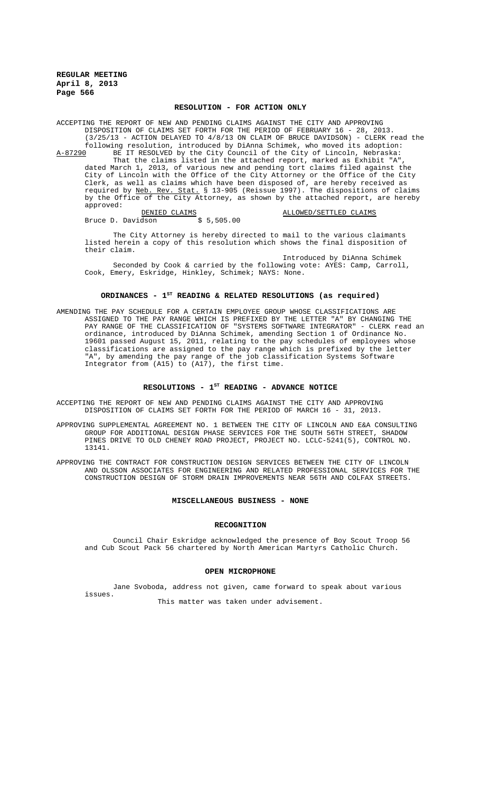#### **RESOLUTION - FOR ACTION ONLY**

ACCEPTING THE REPORT OF NEW AND PENDING CLAIMS AGAINST THE CITY AND APPROVING DISPOSITION OF CLAIMS SET FORTH FOR THE PERIOD OF FEBRUARY 16 - 28, 2013. (3/25/13 - ACTION DELAYED TO 4/8/13 ON CLAIM OF BRUCE DAVIDSON) - CLERK read the following resolution, introduced by DiAnna Schimek, who moved its adoption:<br>A-87290 BE IT RESOLVED by the City Council of the City of Lincoln, Nebraska: A-87290 BE IT RESOLVED by the City Council of the City of Lincoln, Nebraska: That the claims listed in the attached report, marked as Exhibit "A", dated March 1, 2013, of various new and pending tort claims filed against the City of Lincoln with the Office of the City Attorney or the Office of the City Clerk, as well as claims which have been disposed of, are hereby received as required by <u>Neb. Rev. Stat.</u> § 13-905 (Reissue 1997). The dispositions of claims by the Office of the City Attorney, as shown by the attached report, are hereby approved: DENIED CLAIMS **ALLOWED**/SETTLED CLAIMS

Bruce D. Davidson \$ 5,505.00

The City Attorney is hereby directed to mail to the various claimants listed herein a copy of this resolution which shows the final disposition of their claim.

Introduced by DiAnna Schimek Seconded by Cook & carried by the following vote: AYES: Camp, Carroll, Cook, Emery, Eskridge, Hinkley, Schimek; NAYS: None.

## **ORDINANCES - 1ST READING & RELATED RESOLUTIONS (as required)**

AMENDING THE PAY SCHEDULE FOR A CERTAIN EMPLOYEE GROUP WHOSE CLASSIFICATIONS ARE ASSIGNED TO THE PAY RANGE WHICH IS PREFIXED BY THE LETTER "A" BY CHANGING THE PAY RANGE OF THE CLASSIFICATION OF "SYSTEMS SOFTWARE INTEGRATOR" - CLERK read an ordinance, introduced by DiAnna Schimek, amending Section 1 of Ordinance No. 19601 passed August 15, 2011, relating to the pay schedules of employees whose classifications are assigned to the pay range which is prefixed by the letter "A", by amending the pay range of the job classification Systems Software Integrator from (A15) to (A17), the first time.

## RESOLUTIONS - 1<sup>st</sup> READING - ADVANCE NOTICE

ACCEPTING THE REPORT OF NEW AND PENDING CLAIMS AGAINST THE CITY AND APPROVING DISPOSITION OF CLAIMS SET FORTH FOR THE PERIOD OF MARCH 16 - 31, 2013.

APPROVING SUPPLEMENTAL AGREEMENT NO. 1 BETWEEN THE CITY OF LINCOLN AND E&A CONSULTING GROUP FOR ADDITIONAL DESIGN PHASE SERVICES FOR THE SOUTH 56TH STREET, SHADOW PINES DRIVE TO OLD CHENEY ROAD PROJECT, PROJECT NO. LCLC-5241(5), CONTROL NO. 13141.

APPROVING THE CONTRACT FOR CONSTRUCTION DESIGN SERVICES BETWEEN THE CITY OF LINCOLN AND OLSSON ASSOCIATES FOR ENGINEERING AND RELATED PROFESSIONAL SERVICES FOR THE CONSTRUCTION DESIGN OF STORM DRAIN IMPROVEMENTS NEAR 56TH AND COLFAX STREETS.

#### **MISCELLANEOUS BUSINESS - NONE**

## **RECOGNITION**

Council Chair Eskridge acknowledged the presence of Boy Scout Troop 56 and Cub Scout Pack 56 chartered by North American Martyrs Catholic Church.

#### **OPEN MICROPHONE**

Jane Svoboda, address not given, came forward to speak about various issues.

This matter was taken under advisement.